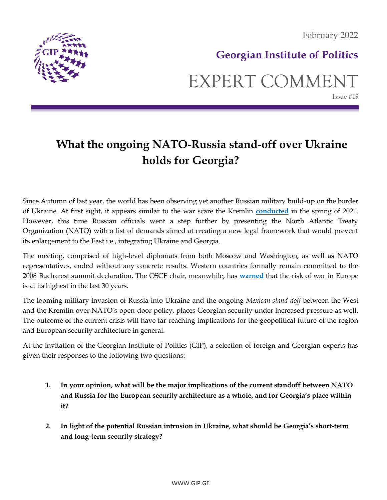

### **Georgian Institute of Politics**

## EXPERT COMMENT Issue #19

# **What the ongoing NATO-Russia stand-off over Ukraine holds for Georgia?**

Since Autumn of last year, the world has been observing yet another Russian military build-up on the border of Ukraine. At first sight, it appears similar to the war scare the Kremlin **[conducted](https://www.csis.org/analysis/russian-and-ukrainian-spring-2021-war-scare)** in the spring of 2021. However, this time Russian officials went a step further by presenting the North Atlantic Treaty Organization (NATO) with a list of demands aimed at creating a new legal framework that would prevent its enlargement to the East i.e., integrating Ukraine and Georgia.

The meeting, comprised of high-level diplomats from both Moscow and Washington, as well as NATO representatives, ended without any concrete results. Western countries formally remain committed to the 2008 Bucharest summit declaration. The OSCE chair, meanwhile, has **[warned](https://www.dw.com/en/ukraine-tensions-osce-chair-warns-risk-of-war-highest-in-30-years/a-60407944)** that the risk of war in Europe is at its highest in the last 30 years.

The looming military invasion of Russia into Ukraine and the ongoing *Mexican stand-doff* between the West and the Kremlin over NATO's open-door policy, places Georgian security under increased pressure as well. The outcome of the current crisis will have far-reaching implications for the geopolitical future of the region and European security architecture in general.

At the invitation of the Georgian Institute of Politics (GIP), a selection of foreign and Georgian experts has given their responses to the following two questions:

- **1. In your opinion, what will be the major implications of the current standoff between NATO and Russia for the European security architecture as a whole, and for Georgia's place within it?**
- **2. In light of the potential Russian intrusion in Ukraine, what should be Georgia's short-term and long-term security strategy?**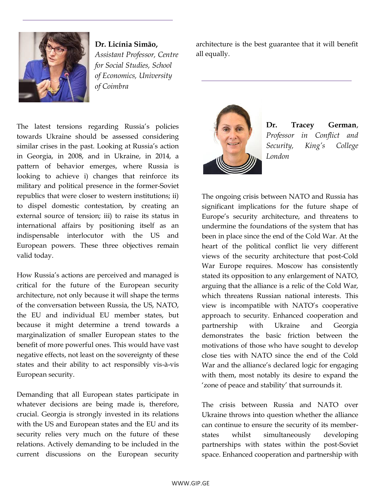

**Dr. Licínia Simão,** *Assistant Professor, Centre for Social Studies, School of Economics, University of Coimbra*

architecture is the best guarantee that it will benefit all equally.



**Dr. Tracey German**, *Professor in Conflict and Security, King's College London*

The ongoing crisis between NATO and Russia has significant implications for the future shape of Europe's security architecture, and threatens to undermine the foundations of the system that has been in place since the end of the Cold War. At the heart of the political conflict lie very different views of the security architecture that post-Cold War Europe requires. Moscow has consistently stated its opposition to any enlargement of NATO, arguing that the alliance is a relic of the Cold War, which threatens Russian national interests. This view is incompatible with NATO's cooperative approach to security. Enhanced cooperation and partnership with Ukraine and Georgia demonstrates the basic friction between the motivations of those who have sought to develop close ties with NATO since the end of the Cold War and the alliance's declared logic for engaging with them, most notably its desire to expand the 'zone of peace and stability' that surrounds it.

The crisis between Russia and NATO over Ukraine throws into question whether the alliance can continue to ensure the security of its memberstates whilst simultaneously developing partnerships with states within the post-Soviet space. Enhanced cooperation and partnership with

The latest tensions regarding Russia's policies towards Ukraine should be assessed considering similar crises in the past. Looking at Russia's action in Georgia, in 2008, and in Ukraine, in 2014, a pattern of behavior emerges, where Russia is looking to achieve i) changes that reinforce its military and political presence in the former-Soviet republics that were closer to western institutions; ii) to dispel domestic contestation, by creating an external source of tension; iii) to raise its status in international affairs by positioning itself as an indispensable interlocutor with the US and European powers. These three objectives remain valid today.

How Russia's actions are perceived and managed is critical for the future of the European security architecture, not only because it will shape the terms of the conversation between Russia, the US, NATO, the EU and individual EU member states, but because it might determine a trend towards a marginalization of smaller European states to the benefit of more powerful ones. This would have vast negative effects, not least on the sovereignty of these states and their ability to act responsibly vis-à-vis European security.

Demanding that all European states participate in whatever decisions are being made is, therefore, crucial. Georgia is strongly invested in its relations with the US and European states and the EU and its security relies very much on the future of these relations. Actively demanding to be included in the current discussions on the European security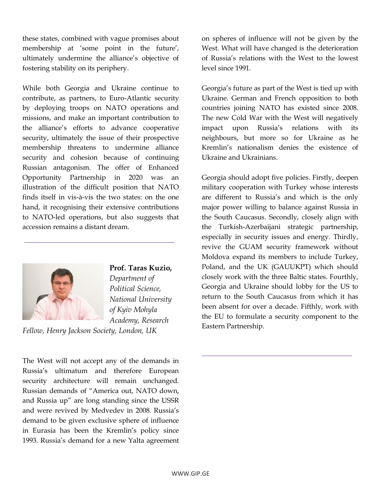these states, combined with vague promises about membership at 'some point in the future', ultimately undermine the alliance's objective of fostering stability on its periphery.

While both Georgia and Ukraine continue to contribute, as partners, to Euro-Atlantic security by deploying troops on NATO operations and missions, and make an important contribution to the alliance's efforts to advance cooperative security, ultimately the issue of their prospective membership threatens to undermine alliance security and cohesion because of continuing Russian antagonism. The offer of Enhanced Opportunity Partnership in 2020 was an illustration of the difficult position that NATO finds itself in vis-à-vis the two states: on the one hand, it recognising their extensive contributions to NATO-led operations, but also suggests that accession remains a distant dream.



**Prof. Taras Kuzio,**

*Department of Political Science, National University of Kyiv Mohyla Academy, Research* 

*Fellow, Henry Jackson Society, London, UK*

The West will not accept any of the demands in Russia's ultimatum and therefore European security architecture will remain unchanged. Russian demands of "America out, NATO down, and Russia up" are long standing since the USSR and were revived by Medvedev in 2008. Russia's demand to be given exclusive sphere of influence in Eurasia has been the Kremlin's policy since 1993. Russia's demand for a new Yalta agreement on spheres of influence will not be given by the West. What will have changed is the deterioration of Russia's relations with the West to the lowest level since 1991.

Georgia's future as part of the West is tied up with Ukraine. German and French opposition to both countries joining NATO has existed since 2008. The new Cold War with the West will negatively impact upon Russia's relations with its neighbours, but more so for Ukraine as he Kremlin's nationalism denies the existence of Ukraine and Ukrainians.

Georgia should adopt five policies. Firstly, deepen military cooperation with Turkey whose interests are different to Russia's and which is the only major power willing to balance against Russia in the South Caucasus. Secondly, closely align with the Turkish-Azerbaijani strategic partnership, especially in security issues and energy. Thirdly, revive the GUAM security framework without Moldova expand its members to include Turkey, Poland, and the UK (GAUUKPT) which should closely work with the three Baltic states. Fourthly, Georgia and Ukraine should lobby for the US to return to the South Caucasus from which it has been absent for over a decade. Fifthly, work with the EU to formulate a security component to the Eastern Partnership.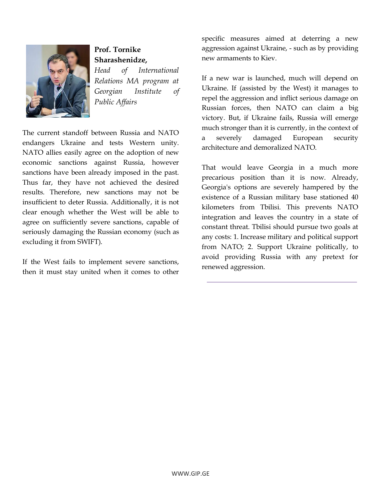

#### **Prof. Tornike Sharashenidze,**

*Head of International Relations MA program at Georgian Institute of Public Affairs*

The current standoff between Russia and NATO endangers Ukraine and tests Western unity. NATO allies easily agree on the adoption of new economic sanctions against Russia, however sanctions have been already imposed in the past. Thus far, they have not achieved the desired results. Therefore, new sanctions may not be insufficient to deter Russia. Additionally, it is not clear enough whether the West will be able to agree on sufficiently severe sanctions, capable of seriously damaging the Russian economy (such as excluding it from SWIFT).

If the West fails to implement severe sanctions, then it must stay united when it comes to other specific measures aimed at deterring a new aggression against Ukraine, - such as by providing new armaments to Kiev.

If a new war is launched, much will depend on Ukraine. If (assisted by the West) it manages to repel the aggression and inflict serious damage on Russian forces, then NATO can claim a big victory. But, if Ukraine fails, Russia will emerge much stronger than it is currently, in the context of a severely damaged European security architecture and demoralized NATO.

That would leave Georgia in a much more precarious position than it is now. Already, Georgia's options are severely hampered by the existence of a Russian military base stationed 40 kilometers from Tbilisi. This prevents NATO integration and leaves the country in a state of constant threat. Tbilisi should pursue two goals at any costs: 1. Increase military and political support from NATO; 2. Support Ukraine politically, to avoid providing Russia with any pretext for renewed aggression.